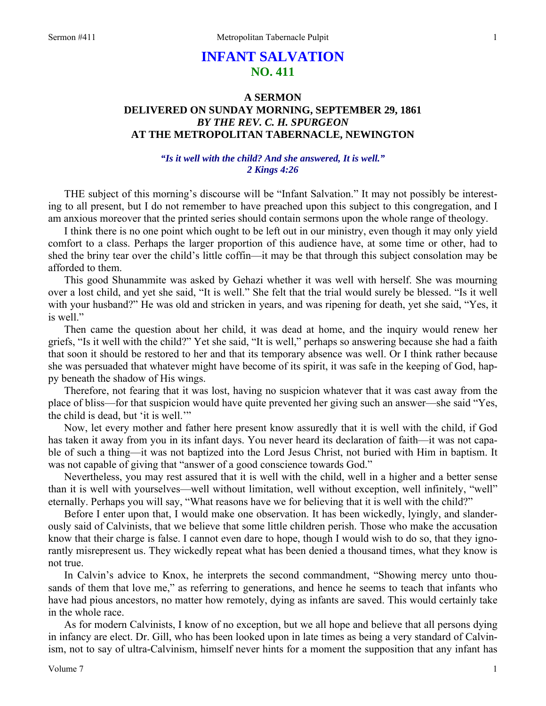# **INFANT SALVATION NO. 411**

# **A SERMON DELIVERED ON SUNDAY MORNING, SEPTEMBER 29, 1861**  *BY THE REV. C. H. SPURGEON*  **AT THE METROPOLITAN TABERNACLE, NEWINGTON**

## *"Is it well with the child? And she answered, It is well." 2 Kings 4:26*

THE subject of this morning's discourse will be "Infant Salvation." It may not possibly be interesting to all present, but I do not remember to have preached upon this subject to this congregation, and I am anxious moreover that the printed series should contain sermons upon the whole range of theology.

I think there is no one point which ought to be left out in our ministry, even though it may only yield comfort to a class. Perhaps the larger proportion of this audience have, at some time or other, had to shed the briny tear over the child's little coffin—it may be that through this subject consolation may be afforded to them.

This good Shunammite was asked by Gehazi whether it was well with herself. She was mourning over a lost child, and yet she said, "It is well." She felt that the trial would surely be blessed. "Is it well with your husband?" He was old and stricken in years, and was ripening for death, yet she said, "Yes, it is well."

Then came the question about her child, it was dead at home, and the inquiry would renew her griefs, "Is it well with the child?" Yet she said, "It is well," perhaps so answering because she had a faith that soon it should be restored to her and that its temporary absence was well. Or I think rather because she was persuaded that whatever might have become of its spirit, it was safe in the keeping of God, happy beneath the shadow of His wings.

Therefore, not fearing that it was lost, having no suspicion whatever that it was cast away from the place of bliss—for that suspicion would have quite prevented her giving such an answer—she said "Yes, the child is dead, but 'it is well.'"

Now, let every mother and father here present know assuredly that it is well with the child, if God has taken it away from you in its infant days. You never heard its declaration of faith—it was not capable of such a thing—it was not baptized into the Lord Jesus Christ, not buried with Him in baptism. It was not capable of giving that "answer of a good conscience towards God."

Nevertheless, you may rest assured that it is well with the child, well in a higher and a better sense than it is well with yourselves—well without limitation, well without exception, well infinitely, "well" eternally. Perhaps you will say, "What reasons have we for believing that it is well with the child?"

Before I enter upon that, I would make one observation. It has been wickedly, lyingly, and slanderously said of Calvinists, that we believe that some little children perish. Those who make the accusation know that their charge is false. I cannot even dare to hope, though I would wish to do so, that they ignorantly misrepresent us. They wickedly repeat what has been denied a thousand times, what they know is not true.

In Calvin's advice to Knox, he interprets the second commandment, "Showing mercy unto thousands of them that love me," as referring to generations, and hence he seems to teach that infants who have had pious ancestors, no matter how remotely, dying as infants are saved. This would certainly take in the whole race.

As for modern Calvinists, I know of no exception, but we all hope and believe that all persons dying in infancy are elect. Dr. Gill, who has been looked upon in late times as being a very standard of Calvinism, not to say of ultra-Calvinism, himself never hints for a moment the supposition that any infant has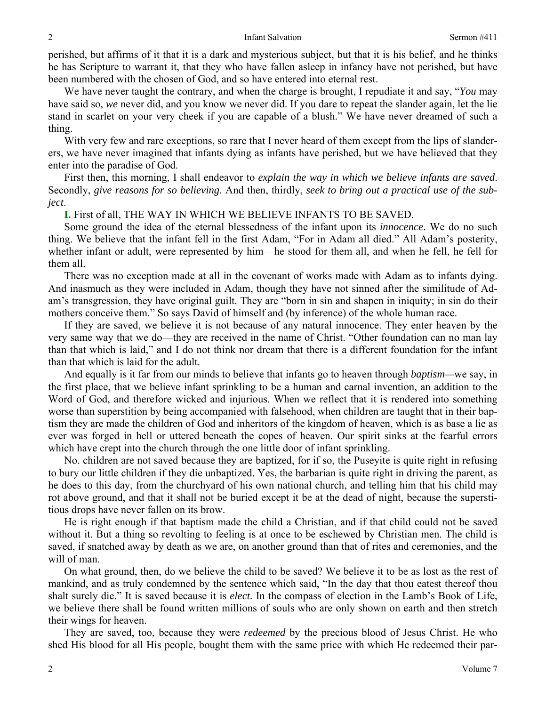perished, but affirms of it that it is a dark and mysterious subject, but that it is his belief, and he thinks he has Scripture to warrant it, that they who have fallen asleep in infancy have not perished, but have been numbered with the chosen of God, and so have entered into eternal rest.

We have never taught the contrary, and when the charge is brought, I repudiate it and say, "*You* may have said so, *we* never did, and you know we never did. If you dare to repeat the slander again, let the lie stand in scarlet on your very cheek if you are capable of a blush." We have never dreamed of such a thing.

With very few and rare exceptions, so rare that I never heard of them except from the lips of slanderers, we have never imagined that infants dying as infants have perished, but we have believed that they enter into the paradise of God.

First then, this morning, I shall endeavor to *explain the way in which we believe infants are saved*. Secondly, *give reasons for so believing*. And then, thirdly, *seek to bring out a practical use of the subject*.

#### **I.** First of all, THE WAY IN WHICH WE BELIEVE INFANTS TO BE SAVED.

Some ground the idea of the eternal blessedness of the infant upon its *innocence*. We do no such thing. We believe that the infant fell in the first Adam, "For in Adam all died." All Adam's posterity, whether infant or adult, were represented by him—he stood for them all, and when he fell, he fell for them all.

There was no exception made at all in the covenant of works made with Adam as to infants dying. And inasmuch as they were included in Adam, though they have not sinned after the similitude of Adam's transgression, they have original guilt. They are "born in sin and shapen in iniquity; in sin do their mothers conceive them." So says David of himself and (by inference) of the whole human race.

If they are saved, we believe it is not because of any natural innocence. They enter heaven by the very same way that we do—they are received in the name of Christ. "Other foundation can no man lay than that which is laid," and I do not think nor dream that there is a different foundation for the infant than that which is laid for the adult.

And equally is it far from our minds to believe that infants go to heaven through *baptism—*we say, in the first place, that we believe infant sprinkling to be a human and carnal invention, an addition to the Word of God, and therefore wicked and injurious. When we reflect that it is rendered into something worse than superstition by being accompanied with falsehood, when children are taught that in their baptism they are made the children of God and inheritors of the kingdom of heaven, which is as base a lie as ever was forged in hell or uttered beneath the copes of heaven. Our spirit sinks at the fearful errors which have crept into the church through the one little door of infant sprinkling.

No. children are not saved because they are baptized, for if so, the Puseyite is quite right in refusing to bury our little children if they die unbaptized. Yes, the barbarian is quite right in driving the parent, as he does to this day, from the churchyard of his own national church, and telling him that his child may rot above ground, and that it shall not be buried except it be at the dead of night, because the superstitious drops have never fallen on its brow.

He is right enough if that baptism made the child a Christian, and if that child could not be saved without it. But a thing so revolting to feeling is at once to be eschewed by Christian men. The child is saved, if snatched away by death as we are, on another ground than that of rites and ceremonies, and the will of man.

On what ground, then, do we believe the child to be saved? We believe it to be as lost as the rest of mankind, and as truly condemned by the sentence which said, "In the day that thou eatest thereof thou shalt surely die." It is saved because it is *elect.* In the compass of election in the Lamb's Book of Life, we believe there shall be found written millions of souls who are only shown on earth and then stretch their wings for heaven.

They are saved, too, because they were *redeemed* by the precious blood of Jesus Christ. He who shed His blood for all His people, bought them with the same price with which He redeemed their par-

2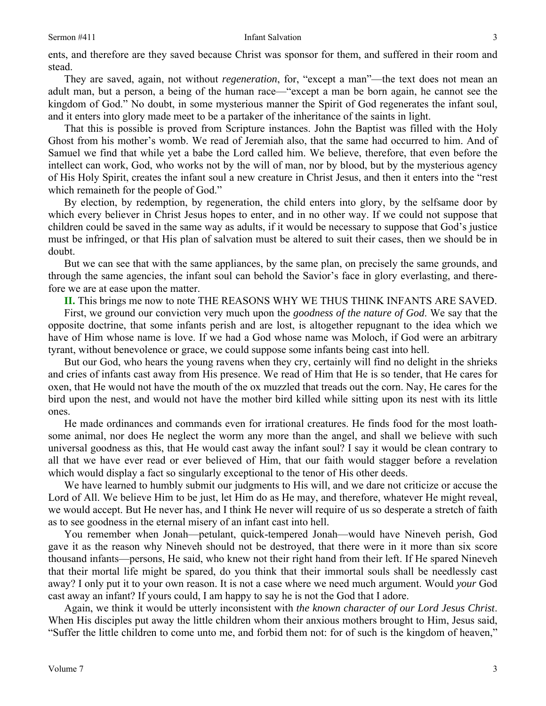ents, and therefore are they saved because Christ was sponsor for them, and suffered in their room and stead.

They are saved, again, not without *regeneration*, for, "except a man"—the text does not mean an adult man, but a person, a being of the human race—"except a man be born again, he cannot see the kingdom of God." No doubt, in some mysterious manner the Spirit of God regenerates the infant soul, and it enters into glory made meet to be a partaker of the inheritance of the saints in light.

That this is possible is proved from Scripture instances. John the Baptist was filled with the Holy Ghost from his mother's womb. We read of Jeremiah also, that the same had occurred to him. And of Samuel we find that while yet a babe the Lord called him. We believe, therefore, that even before the intellect can work, God, who works not by the will of man, nor by blood, but by the mysterious agency of His Holy Spirit, creates the infant soul a new creature in Christ Jesus, and then it enters into the "rest which remaineth for the people of God."

By election, by redemption, by regeneration, the child enters into glory, by the selfsame door by which every believer in Christ Jesus hopes to enter, and in no other way. If we could not suppose that children could be saved in the same way as adults, if it would be necessary to suppose that God's justice must be infringed, or that His plan of salvation must be altered to suit their cases, then we should be in doubt.

But we can see that with the same appliances, by the same plan, on precisely the same grounds, and through the same agencies, the infant soul can behold the Savior's face in glory everlasting, and therefore we are at ease upon the matter.

**II.** This brings me now to note THE REASONS WHY WE THUS THINK INFANTS ARE SAVED.

First, we ground our conviction very much upon the *goodness of the nature of God*. We say that the opposite doctrine, that some infants perish and are lost, is altogether repugnant to the idea which we have of Him whose name is love. If we had a God whose name was Moloch, if God were an arbitrary tyrant, without benevolence or grace, we could suppose some infants being cast into hell.

But our God, who hears the young ravens when they cry, certainly will find no delight in the shrieks and cries of infants cast away from His presence. We read of Him that He is so tender, that He cares for oxen, that He would not have the mouth of the ox muzzled that treads out the corn. Nay, He cares for the bird upon the nest, and would not have the mother bird killed while sitting upon its nest with its little ones.

He made ordinances and commands even for irrational creatures. He finds food for the most loathsome animal, nor does He neglect the worm any more than the angel, and shall we believe with such universal goodness as this, that He would cast away the infant soul? I say it would be clean contrary to all that we have ever read or ever believed of Him, that our faith would stagger before a revelation which would display a fact so singularly exceptional to the tenor of His other deeds.

We have learned to humbly submit our judgments to His will, and we dare not criticize or accuse the Lord of All. We believe Him to be just, let Him do as He may, and therefore, whatever He might reveal, we would accept. But He never has, and I think He never will require of us so desperate a stretch of faith as to see goodness in the eternal misery of an infant cast into hell.

You remember when Jonah—petulant, quick-tempered Jonah—would have Nineveh perish, God gave it as the reason why Nineveh should not be destroyed, that there were in it more than six score thousand infants—persons, He said, who knew not their right hand from their left. If He spared Nineveh that their mortal life might be spared, do you think that their immortal souls shall be needlessly cast away? I only put it to your own reason. It is not a case where we need much argument. Would *your* God cast away an infant? If yours could, I am happy to say he is not the God that I adore.

Again, we think it would be utterly inconsistent with *the known character of our Lord Jesus Christ*. When His disciples put away the little children whom their anxious mothers brought to Him, Jesus said, "Suffer the little children to come unto me, and forbid them not: for of such is the kingdom of heaven,"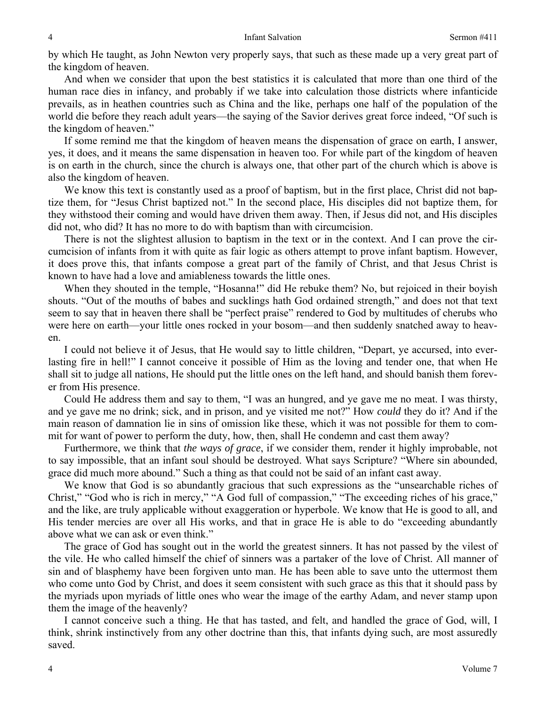by which He taught, as John Newton very properly says, that such as these made up a very great part of the kingdom of heaven.

And when we consider that upon the best statistics it is calculated that more than one third of the human race dies in infancy, and probably if we take into calculation those districts where infanticide prevails, as in heathen countries such as China and the like, perhaps one half of the population of the world die before they reach adult years—the saying of the Savior derives great force indeed, "Of such is the kingdom of heaven."

If some remind me that the kingdom of heaven means the dispensation of grace on earth, I answer, yes, it does, and it means the same dispensation in heaven too. For while part of the kingdom of heaven is on earth in the church, since the church is always one, that other part of the church which is above is also the kingdom of heaven.

We know this text is constantly used as a proof of baptism, but in the first place, Christ did not baptize them, for "Jesus Christ baptized not." In the second place, His disciples did not baptize them, for they withstood their coming and would have driven them away. Then, if Jesus did not, and His disciples did not, who did? It has no more to do with baptism than with circumcision.

There is not the slightest allusion to baptism in the text or in the context. And I can prove the circumcision of infants from it with quite as fair logic as others attempt to prove infant baptism. However, it does prove this, that infants compose a great part of the family of Christ, and that Jesus Christ is known to have had a love and amiableness towards the little ones.

When they shouted in the temple, "Hosanna!" did He rebuke them? No, but rejoiced in their boyish shouts. "Out of the mouths of babes and sucklings hath God ordained strength," and does not that text seem to say that in heaven there shall be "perfect praise" rendered to God by multitudes of cherubs who were here on earth—your little ones rocked in your bosom—and then suddenly snatched away to heaven.

I could not believe it of Jesus, that He would say to little children, "Depart, ye accursed, into everlasting fire in hell!" I cannot conceive it possible of Him as the loving and tender one, that when He shall sit to judge all nations, He should put the little ones on the left hand, and should banish them forever from His presence.

Could He address them and say to them, "I was an hungred, and ye gave me no meat. I was thirsty, and ye gave me no drink; sick, and in prison, and ye visited me not?" How *could* they do it? And if the main reason of damnation lie in sins of omission like these, which it was not possible for them to commit for want of power to perform the duty, how, then, shall He condemn and cast them away?

Furthermore, we think that *the ways of grace*, if we consider them, render it highly improbable, not to say impossible, that an infant soul should be destroyed. What says Scripture? "Where sin abounded, grace did much more abound." Such a thing as that could not be said of an infant cast away.

We know that God is so abundantly gracious that such expressions as the "unsearchable riches of Christ," "God who is rich in mercy," "A God full of compassion," "The exceeding riches of his grace," and the like, are truly applicable without exaggeration or hyperbole. We know that He is good to all, and His tender mercies are over all His works, and that in grace He is able to do "exceeding abundantly above what we can ask or even think."

The grace of God has sought out in the world the greatest sinners. It has not passed by the vilest of the vile. He who called himself the chief of sinners was a partaker of the love of Christ. All manner of sin and of blasphemy have been forgiven unto man. He has been able to save unto the uttermost them who come unto God by Christ, and does it seem consistent with such grace as this that it should pass by the myriads upon myriads of little ones who wear the image of the earthy Adam, and never stamp upon them the image of the heavenly?

I cannot conceive such a thing. He that has tasted, and felt, and handled the grace of God, will, I think, shrink instinctively from any other doctrine than this, that infants dying such, are most assuredly saved.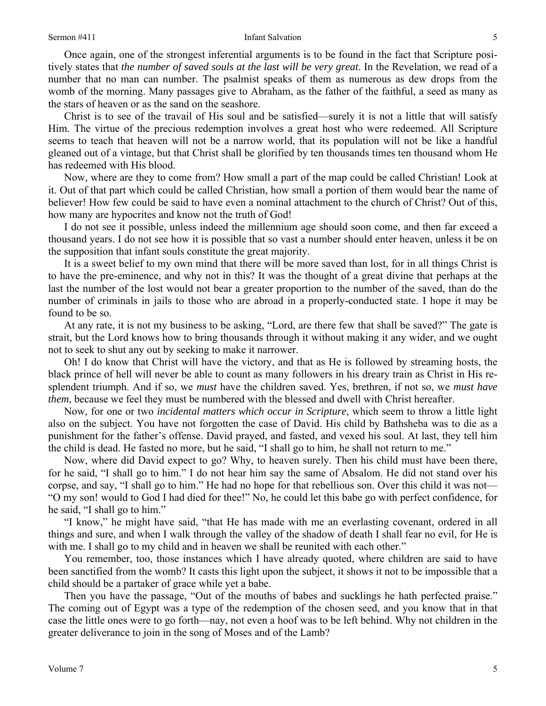#### Sermon #411 Infant Salvation

Once again, one of the strongest inferential arguments is to be found in the fact that Scripture positively states that *the number of saved souls at the last will be very great*. In the Revelation, we read of a number that no man can number. The psalmist speaks of them as numerous as dew drops from the womb of the morning. Many passages give to Abraham, as the father of the faithful, a seed as many as the stars of heaven or as the sand on the seashore.

Christ is to see of the travail of His soul and be satisfied—surely it is not a little that will satisfy Him. The virtue of the precious redemption involves a great host who were redeemed. All Scripture seems to teach that heaven will not be a narrow world, that its population will not be like a handful gleaned out of a vintage, but that Christ shall be glorified by ten thousands times ten thousand whom He has redeemed with His blood.

Now, where are they to come from? How small a part of the map could be called Christian! Look at it. Out of that part which could be called Christian, how small a portion of them would bear the name of believer! How few could be said to have even a nominal attachment to the church of Christ? Out of this, how many are hypocrites and know not the truth of God!

I do not see it possible, unless indeed the millennium age should soon come, and then far exceed a thousand years. I do not see how it is possible that so vast a number should enter heaven, unless it be on the supposition that infant souls constitute the great majority.

It is a sweet belief to my own mind that there will be more saved than lost, for in all things Christ is to have the pre-eminence, and why not in this? It was the thought of a great divine that perhaps at the last the number of the lost would not bear a greater proportion to the number of the saved, than do the number of criminals in jails to those who are abroad in a properly-conducted state. I hope it may be found to be so.

At any rate, it is not my business to be asking, "Lord, are there few that shall be saved?" The gate is strait, but the Lord knows how to bring thousands through it without making it any wider, and we ought not to seek to shut any out by seeking to make it narrower.

Oh! I do know that Christ will have the victory, and that as He is followed by streaming hosts, the black prince of hell will never be able to count as many followers in his dreary train as Christ in His resplendent triumph. And if so, we *must* have the children saved. Yes, brethren, if not so, we *must have them*, because we feel they must be numbered with the blessed and dwell with Christ hereafter.

Now, for one or two *incidental matters which occur in Scripture*, which seem to throw a little light also on the subject. You have not forgotten the case of David. His child by Bathsheba was to die as a punishment for the father's offense. David prayed, and fasted, and vexed his soul. At last, they tell him the child is dead. He fasted no more, but he said, "I shall go to him, he shall not return to me."

Now, where did David expect to go? Why, to heaven surely. Then his child must have been there, for he said, "I shall go to him." I do not hear him say the same of Absalom. He did not stand over his corpse, and say, "I shall go to him." He had no hope for that rebellious son. Over this child it was not— "O my son! would to God I had died for thee!" No, he could let this babe go with perfect confidence, for he said, "I shall go to him."

"I know," he might have said, "that He has made with me an everlasting covenant, ordered in all things and sure, and when I walk through the valley of the shadow of death I shall fear no evil, for He is with me. I shall go to my child and in heaven we shall be reunited with each other."

You remember, too, those instances which I have already quoted, where children are said to have been sanctified from the womb? It casts this light upon the subject, it shows it not to be impossible that a child should be a partaker of grace while yet a babe.

Then you have the passage, "Out of the mouths of babes and sucklings he hath perfected praise." The coming out of Egypt was a type of the redemption of the chosen seed, and you know that in that case the little ones were to go forth—nay, not even a hoof was to be left behind. Why not children in the greater deliverance to join in the song of Moses and of the Lamb?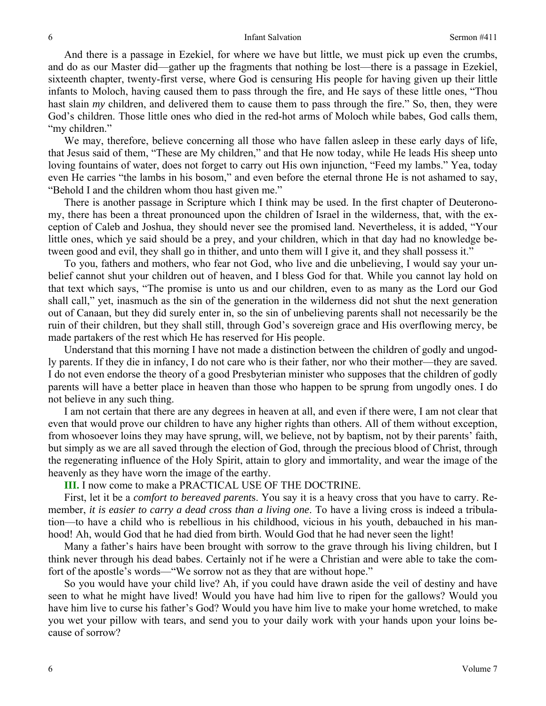And there is a passage in Ezekiel, for where we have but little, we must pick up even the crumbs, and do as our Master did—gather up the fragments that nothing be lost—there is a passage in Ezekiel, sixteenth chapter, twenty-first verse, where God is censuring His people for having given up their little infants to Moloch, having caused them to pass through the fire, and He says of these little ones, "Thou hast slain *my* children, and delivered them to cause them to pass through the fire." So, then, they were God's children. Those little ones who died in the red-hot arms of Moloch while babes, God calls them, "my children."

We may, therefore, believe concerning all those who have fallen asleep in these early days of life, that Jesus said of them, "These are My children," and that He now today, while He leads His sheep unto loving fountains of water, does not forget to carry out His own injunction, "Feed my lambs." Yea, today even He carries "the lambs in his bosom," and even before the eternal throne He is not ashamed to say, "Behold I and the children whom thou hast given me."

There is another passage in Scripture which I think may be used. In the first chapter of Deuteronomy, there has been a threat pronounced upon the children of Israel in the wilderness, that, with the exception of Caleb and Joshua, they should never see the promised land. Nevertheless, it is added, "Your little ones, which ye said should be a prey, and your children, which in that day had no knowledge between good and evil, they shall go in thither, and unto them will I give it, and they shall possess it."

To you, fathers and mothers, who fear not God, who live and die unbelieving, I would say your unbelief cannot shut your children out of heaven, and I bless God for that. While you cannot lay hold on that text which says, "The promise is unto us and our children, even to as many as the Lord our God shall call," yet, inasmuch as the sin of the generation in the wilderness did not shut the next generation out of Canaan, but they did surely enter in, so the sin of unbelieving parents shall not necessarily be the ruin of their children, but they shall still, through God's sovereign grace and His overflowing mercy, be made partakers of the rest which He has reserved for His people.

Understand that this morning I have not made a distinction between the children of godly and ungodly parents. If they die in infancy, I do not care who is their father, nor who their mother—they are saved. I do not even endorse the theory of a good Presbyterian minister who supposes that the children of godly parents will have a better place in heaven than those who happen to be sprung from ungodly ones. I do not believe in any such thing.

I am not certain that there are any degrees in heaven at all, and even if there were, I am not clear that even that would prove our children to have any higher rights than others. All of them without exception, from whosoever loins they may have sprung, will, we believe, not by baptism, not by their parents' faith, but simply as we are all saved through the election of God, through the precious blood of Christ, through the regenerating influence of the Holy Spirit, attain to glory and immortality, and wear the image of the heavenly as they have worn the image of the earthy.

### **III.** I now come to make a PRACTICAL USE OF THE DOCTRINE.

First, let it be a *comfort to bereaved parent*s. You say it is a heavy cross that you have to carry. Remember, *it is easier to carry a dead cross than a living one*. To have a living cross is indeed a tribulation—to have a child who is rebellious in his childhood, vicious in his youth, debauched in his manhood! Ah, would God that he had died from birth. Would God that he had never seen the light!

Many a father's hairs have been brought with sorrow to the grave through his living children, but I think never through his dead babes. Certainly not if he were a Christian and were able to take the comfort of the apostle's words—"We sorrow not as they that are without hope."

So you would have your child live? Ah, if you could have drawn aside the veil of destiny and have seen to what he might have lived! Would you have had him live to ripen for the gallows? Would you have him live to curse his father's God? Would you have him live to make your home wretched, to make you wet your pillow with tears, and send you to your daily work with your hands upon your loins because of sorrow?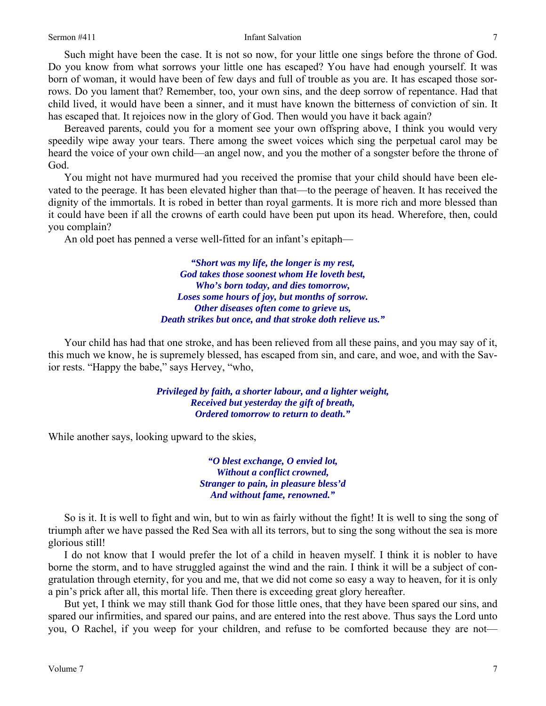#### Sermon #411 Infant Salvation

Such might have been the case. It is not so now, for your little one sings before the throne of God. Do you know from what sorrows your little one has escaped? You have had enough yourself. It was born of woman, it would have been of few days and full of trouble as you are. It has escaped those sorrows. Do you lament that? Remember, too, your own sins, and the deep sorrow of repentance. Had that child lived, it would have been a sinner, and it must have known the bitterness of conviction of sin. It has escaped that. It rejoices now in the glory of God. Then would you have it back again?

Bereaved parents, could you for a moment see your own offspring above, I think you would very speedily wipe away your tears. There among the sweet voices which sing the perpetual carol may be heard the voice of your own child—an angel now, and you the mother of a songster before the throne of God.

You might not have murmured had you received the promise that your child should have been elevated to the peerage. It has been elevated higher than that—to the peerage of heaven. It has received the dignity of the immortals. It is robed in better than royal garments. It is more rich and more blessed than it could have been if all the crowns of earth could have been put upon its head. Wherefore, then, could you complain?

An old poet has penned a verse well-fitted for an infant's epitaph—

*"Short was my life, the longer is my rest, God takes those soonest whom He loveth best, Who's born today, and dies tomorrow, Loses some hours of joy, but months of sorrow. Other diseases often come to grieve us, Death strikes but once, and that stroke doth relieve us."* 

Your child has had that one stroke, and has been relieved from all these pains, and you may say of it, this much we know, he is supremely blessed, has escaped from sin, and care, and woe, and with the Savior rests. "Happy the babe," says Hervey, "who,

> *Privileged by faith, a shorter labour, and a lighter weight, Received but yesterday the gift of breath, Ordered tomorrow to return to death."*

While another says, looking upward to the skies,

*"O blest exchange, O envied lot, Without a conflict crowned, Stranger to pain, in pleasure bless'd And without fame, renowned."* 

So is it. It is well to fight and win, but to win as fairly without the fight! It is well to sing the song of triumph after we have passed the Red Sea with all its terrors, but to sing the song without the sea is more glorious still!

I do not know that I would prefer the lot of a child in heaven myself. I think it is nobler to have borne the storm, and to have struggled against the wind and the rain. I think it will be a subject of congratulation through eternity, for you and me, that we did not come so easy a way to heaven, for it is only a pin's prick after all, this mortal life. Then there is exceeding great glory hereafter.

But yet, I think we may still thank God for those little ones, that they have been spared our sins, and spared our infirmities, and spared our pains, and are entered into the rest above. Thus says the Lord unto you, O Rachel, if you weep for your children, and refuse to be comforted because they are not—

7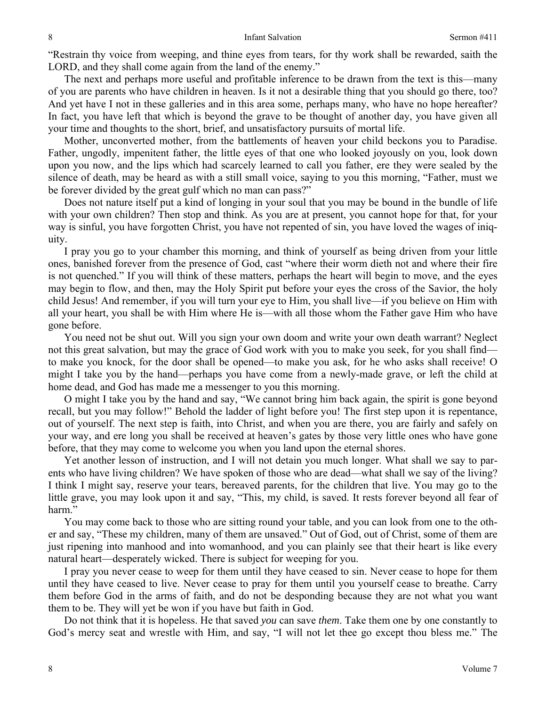"Restrain thy voice from weeping, and thine eyes from tears, for thy work shall be rewarded, saith the LORD, and they shall come again from the land of the enemy."

The next and perhaps more useful and profitable inference to be drawn from the text is this—many of you are parents who have children in heaven. Is it not a desirable thing that you should go there, too? And yet have I not in these galleries and in this area some, perhaps many, who have no hope hereafter? In fact, you have left that which is beyond the grave to be thought of another day, you have given all your time and thoughts to the short, brief, and unsatisfactory pursuits of mortal life.

Mother, unconverted mother, from the battlements of heaven your child beckons you to Paradise. Father, ungodly, impenitent father, the little eyes of that one who looked joyously on you, look down upon you now, and the lips which had scarcely learned to call you father, ere they were sealed by the silence of death, may be heard as with a still small voice, saying to you this morning, "Father, must we be forever divided by the great gulf which no man can pass?"

Does not nature itself put a kind of longing in your soul that you may be bound in the bundle of life with your own children? Then stop and think. As you are at present, you cannot hope for that, for your way is sinful, you have forgotten Christ, you have not repented of sin, you have loved the wages of iniquity.

I pray you go to your chamber this morning, and think of yourself as being driven from your little ones, banished forever from the presence of God, cast "where their worm dieth not and where their fire is not quenched." If you will think of these matters, perhaps the heart will begin to move, and the eyes may begin to flow, and then, may the Holy Spirit put before your eyes the cross of the Savior, the holy child Jesus! And remember, if you will turn your eye to Him, you shall live—if you believe on Him with all your heart, you shall be with Him where He is—with all those whom the Father gave Him who have gone before.

You need not be shut out. Will you sign your own doom and write your own death warrant? Neglect not this great salvation, but may the grace of God work with you to make you seek, for you shall find to make you knock, for the door shall be opened—to make you ask, for he who asks shall receive! O might I take you by the hand—perhaps you have come from a newly-made grave, or left the child at home dead, and God has made me a messenger to you this morning.

O might I take you by the hand and say, "We cannot bring him back again, the spirit is gone beyond recall, but you may follow!" Behold the ladder of light before you! The first step upon it is repentance, out of yourself. The next step is faith, into Christ, and when you are there, you are fairly and safely on your way, and ere long you shall be received at heaven's gates by those very little ones who have gone before, that they may come to welcome you when you land upon the eternal shores.

Yet another lesson of instruction, and I will not detain you much longer. What shall we say to parents who have living children? We have spoken of those who are dead—what shall we say of the living? I think I might say, reserve your tears, bereaved parents, for the children that live. You may go to the little grave, you may look upon it and say, "This, my child, is saved. It rests forever beyond all fear of harm."

You may come back to those who are sitting round your table, and you can look from one to the other and say, "These my children, many of them are unsaved." Out of God, out of Christ, some of them are just ripening into manhood and into womanhood, and you can plainly see that their heart is like every natural heart—desperately wicked. There is subject for weeping for you.

I pray you never cease to weep for them until they have ceased to sin. Never cease to hope for them until they have ceased to live. Never cease to pray for them until you yourself cease to breathe. Carry them before God in the arms of faith, and do not be desponding because they are not what you want them to be. They will yet be won if you have but faith in God.

Do not think that it is hopeless. He that saved *you* can save *them*. Take them one by one constantly to God's mercy seat and wrestle with Him, and say, "I will not let thee go except thou bless me." The